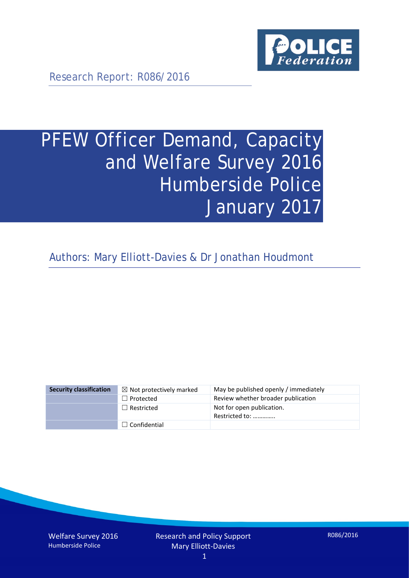

Research Report: R086/2016

# PFEW Officer Demand, Capacity and Welfare Survey 2016 Humberside Police January 2017

Authors: Mary Elliott-Davies & Dr Jonathan Houdmont

| <b>Security classification</b> | $\boxtimes$ Not protectively marked | May be published openly / immediately       |
|--------------------------------|-------------------------------------|---------------------------------------------|
|                                | $\Box$ Protected                    | Review whether broader publication          |
|                                | $\Box$ Restricted                   | Not for open publication.<br>Restricted to: |
|                                | $\Box$ Confidential                 |                                             |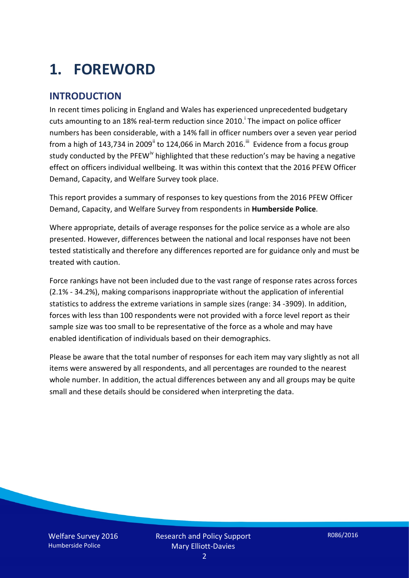# **1. FOREWORD**

## **INTRODUCTION**

In recent times policing in England and Wales has experienced unprecedented budgetary cuts amount[i](#page-15-0)ng to an 18% real-term reduction since 2010.<sup>1</sup> The impact on police officer numbers has been considerable, with a 14% fall in officer numbers over a seven year period from a high of 143,734 in 2009<sup>[ii](#page-15-1)</sup> to 124,066 in March 2016.<sup>[iii](#page-15-2)</sup> Evidence from a focus group study conducted by the PFEW<sup>[iv](#page-15-3)</sup> highlighted that these reduction's may be having a negative effect on officers individual wellbeing. It was within this context that the 2016 PFEW Officer Demand, Capacity, and Welfare Survey took place.

This report provides a summary of responses to key questions from the 2016 PFEW Officer Demand, Capacity, and Welfare Survey from respondents in **Humberside Police**.

Where appropriate, details of average responses for the police service as a whole are also presented. However, differences between the national and local responses have not been tested statistically and therefore any differences reported are for guidance only and must be treated with caution.

Force rankings have not been included due to the vast range of response rates across forces (2.1% - 34.2%), making comparisons inappropriate without the application of inferential statistics to address the extreme variations in sample sizes (range: 34 -3909). In addition, forces with less than 100 respondents were not provided with a force level report as their sample size was too small to be representative of the force as a whole and may have enabled identification of individuals based on their demographics.

Please be aware that the total number of responses for each item may vary slightly as not all items were answered by all respondents, and all percentages are rounded to the nearest whole number. In addition, the actual differences between any and all groups may be quite small and these details should be considered when interpreting the data.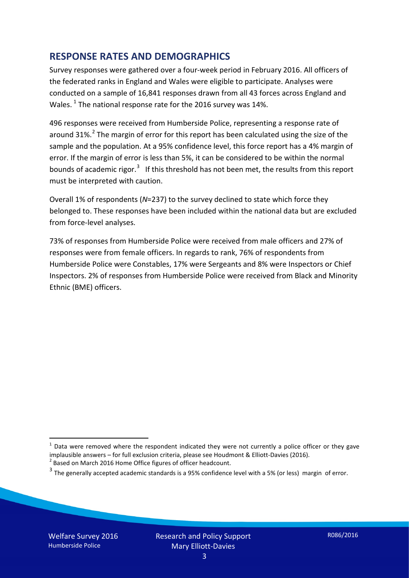### **RESPONSE RATES AND DEMOGRAPHICS**

Survey responses were gathered over a four-week period in February 2016. All officers of the federated ranks in England and Wales were eligible to participate. Analyses were conducted on a sample of 16,841 responses drawn from all 43 forces across England and Wales.  $^1$  $^1$  The national response rate for the 2016 survey was 14%.

496 responses were received from Humberside Police, representing a response rate of around 31%.<sup>[2](#page-2-1)</sup> The margin of error for this report has been calculated using the size of the sample and the population. At a 95% confidence level, this force report has a 4% margin of error. If the margin of error is less than 5%, it can be considered to be within the normal bounds of academic rigor.<sup>[3](#page-2-2)</sup> If this threshold has not been met, the results from this report must be interpreted with caution.

Overall 1% of respondents (*N*=237) to the survey declined to state which force they belonged to. These responses have been included within the national data but are excluded from force-level analyses.

73% of responses from Humberside Police were received from male officers and 27% of responses were from female officers. In regards to rank, 76% of respondents from Humberside Police were Constables, 17% were Sergeants and 8% were Inspectors or Chief Inspectors. 2% of responses from Humberside Police were received from Black and Minority Ethnic (BME) officers.

-

<span id="page-2-0"></span> $1$  Data were removed where the respondent indicated they were not currently a police officer or they gave implausible answers – for full exclusion criteria, please see Houdmont & Elliott-Davies (2016).<br><sup>2</sup> Based on March 2016 Home Office figures of officer headcount.

<span id="page-2-1"></span>

<span id="page-2-2"></span> $3$  The generally accepted academic standards is a 95% confidence level with a 5% (or less) margin of error.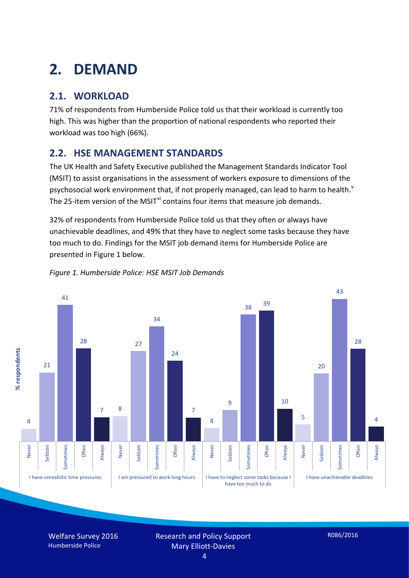# **2. DEMAND**

# **2.1. WORKLOAD**

71% of respondents from Humberside Police told us that their workload is currently too high. This was higher than the proportion of national respondents who reported their workload was too high (66%).

## **2.2. HSE MANAGEMENT STANDARDS**

The UK Health and Safety Executive published the Management Standards Indicator Tool (MSIT) to assist organisations in the assessment of workers exposure to dimensions of the psychosocial work en[v](#page-15-4)ironment that, if not properly managed, can lead to harm to health.<sup>v</sup> The 25-item version of the MSIT<sup>[vi](#page-15-5)</sup> contains four items that measure job demands.

32% of respondents from Humberside Police told us that they often or always have unachievable deadlines, and 49% that they have to neglect some tasks because they have too much to do. Findings for the MSIT job demand items for Humberside Police are presented in Figure 1 below.



#### *Figure 1. Humberside Police: HSE MSIT Job Demands*

Welfare Survey 2016 Humberside Police

Research and Policy Support Mary Elliott-Davies

4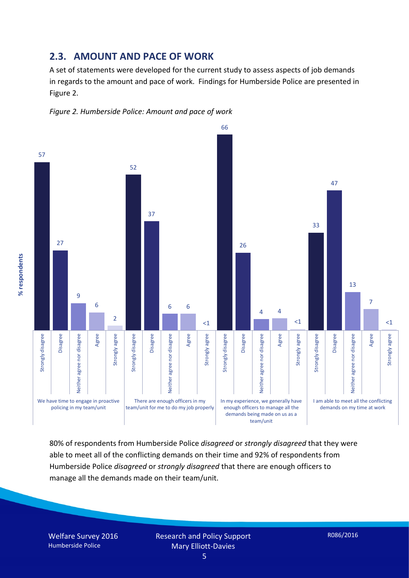### **2.3. AMOUNT AND PACE OF WORK**

A set of statements were developed for the current study to assess aspects of job demands in regards to the amount and pace of work. Findings for Humberside Police are presented in Figure 2.





80% of respondents from Humberside Police *disagreed* or *strongly disagreed* that they were able to meet all of the conflicting demands on their time and 92% of respondents from Humberside Police *disagreed* or *strongly disagreed* that there are enough officers to manage all the demands made on their team/unit.

Welfare Survey 2016 Humberside Police

% respondents **% respondents**

> Research and Policy Support Mary Elliott-Davies

5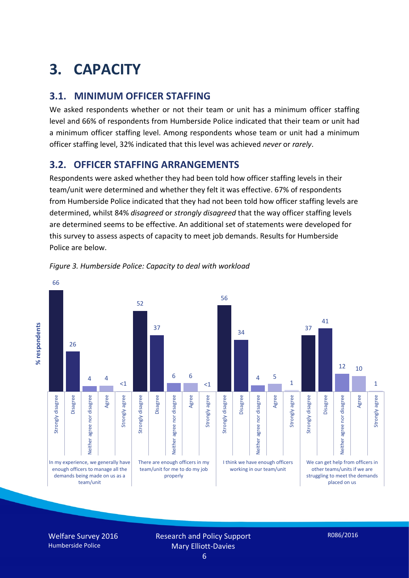# **3. CAPACITY**

## **3.1. MINIMUM OFFICER STAFFING**

We asked respondents whether or not their team or unit has a minimum officer staffing level and 66% of respondents from Humberside Police indicated that their team or unit had a minimum officer staffing level. Among respondents whose team or unit had a minimum officer staffing level, 32% indicated that this level was achieved *never* or *rarely*.

## **3.2. OFFICER STAFFING ARRANGEMENTS**

Respondents were asked whether they had been told how officer staffing levels in their team/unit were determined and whether they felt it was effective. 67% of respondents from Humberside Police indicated that they had not been told how officer staffing levels are determined, whilst 84% *disagreed* or *strongly disagreed* that the way officer staffing levels are determined seems to be effective. An additional set of statements were developed for this survey to assess aspects of capacity to meet job demands. Results for Humberside Police are below.



*Figure 3. Humberside Police: Capacity to deal with workload*

Welfare Survey 2016 Humberside Police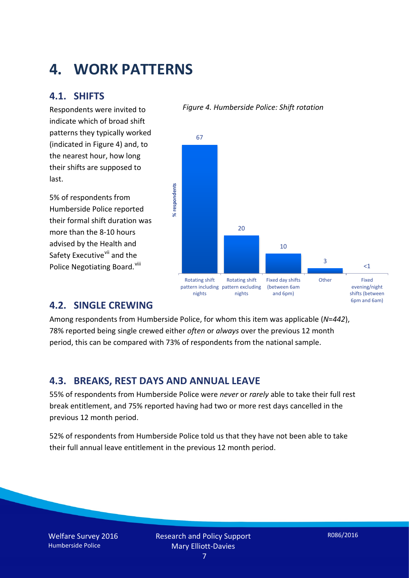# **4. WORK PATTERNS**

### **4.1. SHIFTS**

Respondents were invited to indicate which of broad shift patterns they typically worked (indicated in Figure 4) and, to the nearest hour, how long their shifts are supposed to last.

5% of respondents from Humberside Police reported their formal shift duration was more than the 8-10 hours advised by the Health and Safety Executive<sup>[vii](#page-15-6)</sup> and the Police Negotiating Board. Vill

#### *Figure 4. Humberside Police: Shift rotation*



### **4.2. SINGLE CREWING**

Among respondents from Humberside Police, for whom this item was applicable (*N*=*442*), 78% reported being single crewed either *often* or *always* over the previous 12 month period, this can be compared with 73% of respondents from the national sample.

### **4.3. BREAKS, REST DAYS AND ANNUAL LEAVE**

55% of respondents from Humberside Police were *never* or *rarely* able to take their full rest break entitlement, and 75% reported having had two or more rest days cancelled in the previous 12 month period.

52% of respondents from Humberside Police told us that they have not been able to take their full annual leave entitlement in the previous 12 month period.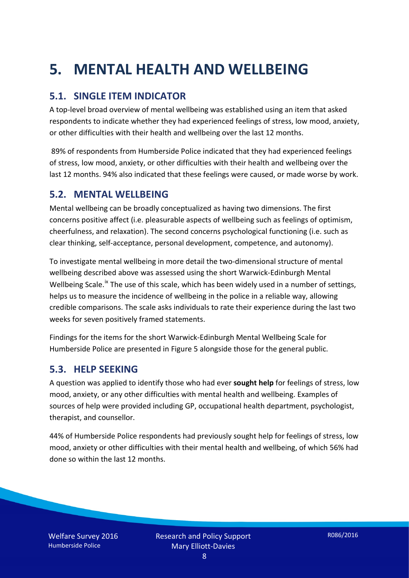# **5. MENTAL HEALTH AND WELLBEING**

## **5.1. SINGLE ITEM INDICATOR**

A top-level broad overview of mental wellbeing was established using an item that asked respondents to indicate whether they had experienced feelings of stress, low mood, anxiety, or other difficulties with their health and wellbeing over the last 12 months.

89% of respondents from Humberside Police indicated that they had experienced feelings of stress, low mood, anxiety, or other difficulties with their health and wellbeing over the last 12 months. 94% also indicated that these feelings were caused, or made worse by work.

### **5.2. MENTAL WELLBEING**

Mental wellbeing can be broadly conceptualized as having two dimensions. The first concerns positive affect (i.e. pleasurable aspects of wellbeing such as feelings of optimism, cheerfulness, and relaxation). The second concerns psychological functioning (i.e. such as clear thinking, self-acceptance, personal development, competence, and autonomy).

To investigate mental wellbeing in more detail the two-dimensional structure of mental wellbeing described above was assessed using the short Warwick-Edinburgh Mental Wellbeing Scale.<sup>[ix](#page-15-8)</sup> The use of this scale, which has been widely used in a number of settings, helps us to measure the incidence of wellbeing in the police in a reliable way, allowing credible comparisons. The scale asks individuals to rate their experience during the last two weeks for seven positively framed statements.

Findings for the items for the short Warwick-Edinburgh Mental Wellbeing Scale for Humberside Police are presented in Figure 5 alongside those for the general public.

### **5.3. HELP SEEKING**

A question was applied to identify those who had ever **sought help** for feelings of stress, low mood, anxiety, or any other difficulties with mental health and wellbeing. Examples of sources of help were provided including GP, occupational health department, psychologist, therapist, and counsellor.

44% of Humberside Police respondents had previously sought help for feelings of stress, low mood, anxiety or other difficulties with their mental health and wellbeing, of which 56% had done so within the last 12 months.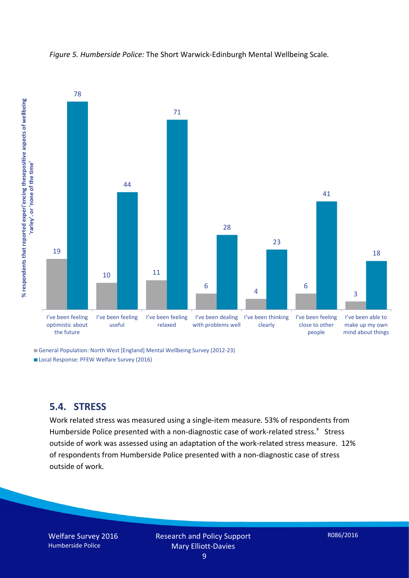

*Figure 5. Humberside Police:* The Short Warwick-Edinburgh Mental Wellbeing Scale*.*

General Population: North West [England] Mental Wellbeing Survey (2012-23) Local Response: PFEW Welfare Survey (2016)

### **5.4. STRESS**

Work related stress was measured using a single-item measure. 53% of respondents from Humberside Police presented with a non-diagnostic case of work-related stress.<sup>[x](#page-15-9)</sup> Stress outside of work was assessed using an adaptation of the work-related stress measure. 12% of respondents from Humberside Police presented with a non-diagnostic case of stress outside of work.

Welfare Survey 2016 Humberside Police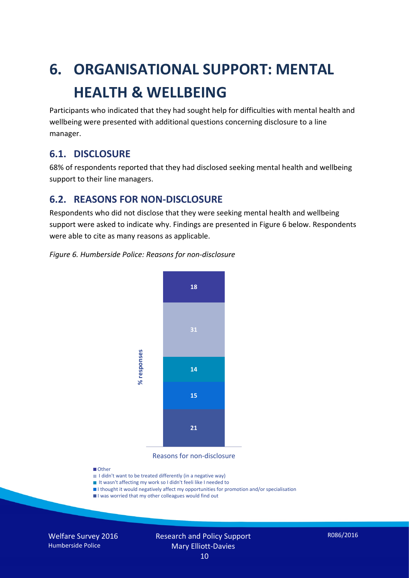# **6. ORGANISATIONAL SUPPORT: MENTAL HEALTH & WELLBEING**

Participants who indicated that they had sought help for difficulties with mental health and wellbeing were presented with additional questions concerning disclosure to a line manager.

### **6.1. DISCLOSURE**

68% of respondents reported that they had disclosed seeking mental health and wellbeing support to their line managers.

### **6.2. REASONS FOR NON-DISCLOSURE**

Respondents who did not disclose that they were seeking mental health and wellbeing support were asked to indicate why. Findings are presented in Figure 6 below. Respondents were able to cite as many reasons as applicable.

#### *Figure 6. Humberside Police: Reasons for non-disclosure*



Reasons for non-disclosure

#### **D**Other

- I didn't want to be treated differently (in a negative way)
- I It wasn't affecting my work so I didn't feeli like I needed to
- I thought it would negatively affect my opportunities for promotion and/or specialisation
- I was worried that my other colleagues would find out

Welfare Survey 2016 Humberside Police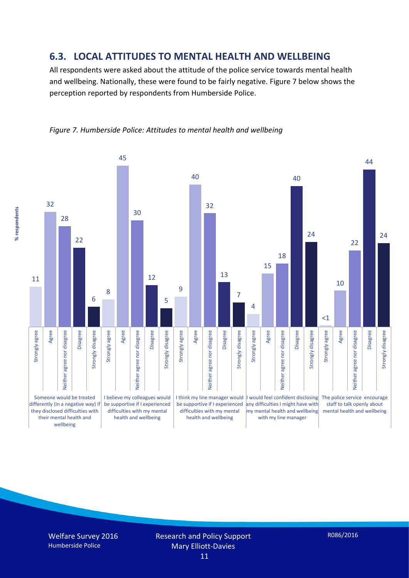### **6.3. LOCAL ATTITUDES TO MENTAL HEALTH AND WELLBEING**

All respondents were asked about the attitude of the police service towards mental health and wellbeing. Nationally, these were found to be fairly negative. Figure 7 below shows the perception reported by respondents from Humberside Police.





% respondents **% respondents**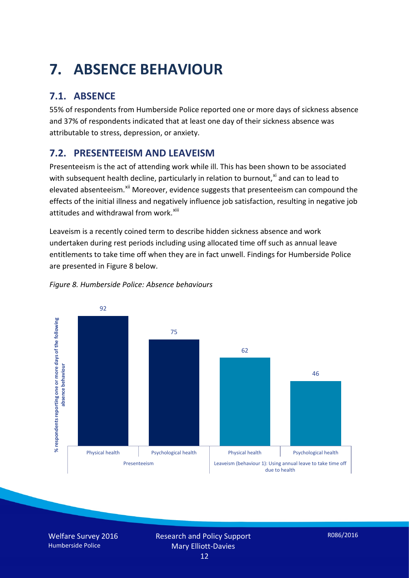# **7. ABSENCE BEHAVIOUR**

# **7.1. ABSENCE**

55% of respondents from Humberside Police reported one or more days of sickness absence and 37% of respondents indicated that at least one day of their sickness absence was attributable to stress, depression, or anxiety.

# **7.2. PRESENTEEISM AND LEAVEISM**

Presenteeism is the act of attending work while ill. This has been shown to be associated with subsequent health decline, particularly in relation to burnout, $x_i$  and can to lead to elevated absenteeism.<sup>[xii](#page-16-1)</sup> Moreover, evidence suggests that presenteeism can compound the effects of the initial illness and negatively influence job satisfaction, resulting in negative job attitudes and withdrawal from work.<sup>[xiii](#page-16-2)</sup>

Leaveism is a recently coined term to describe hidden sickness absence and work undertaken during rest periods including using allocated time off such as annual leave entitlements to take time off when they are in fact unwell. Findings for Humberside Police are presented in Figure 8 below.



#### *Figure 8. Humberside Police: Absence behaviours*

Welfare Survey 2016 Humberside Police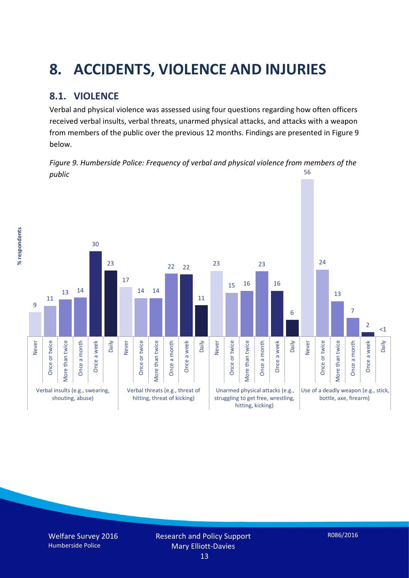# **8. ACCIDENTS, VIOLENCE AND INJURIES**

# **8.1. VIOLENCE**

% respondents **% respondents**

Verbal and physical violence was assessed using four questions regarding how often officers received verbal insults, verbal threats, unarmed physical attacks, and attacks with a weapon from members of the public over the previous 12 months. Findings are presented in Figure 9 below.

*Figure 9. Humberside Police: Frequency of verbal and physical violence from members of the public* 56

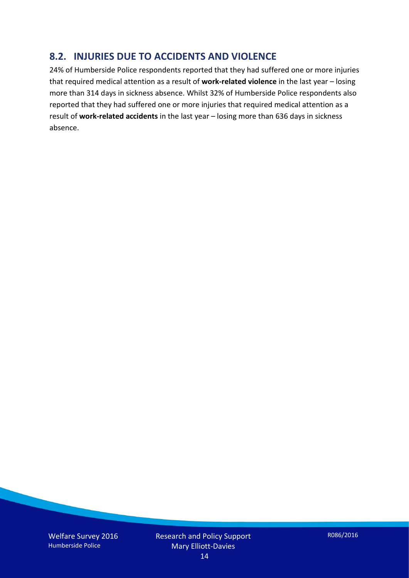## **8.2. INJURIES DUE TO ACCIDENTS AND VIOLENCE**

24% of Humberside Police respondents reported that they had suffered one or more injuries that required medical attention as a result of **work-related violence** in the last year – losing more than 314 days in sickness absence. Whilst 32% of Humberside Police respondents also reported that they had suffered one or more injuries that required medical attention as a result of **work-related accidents** in the last year – losing more than 636 days in sickness absence.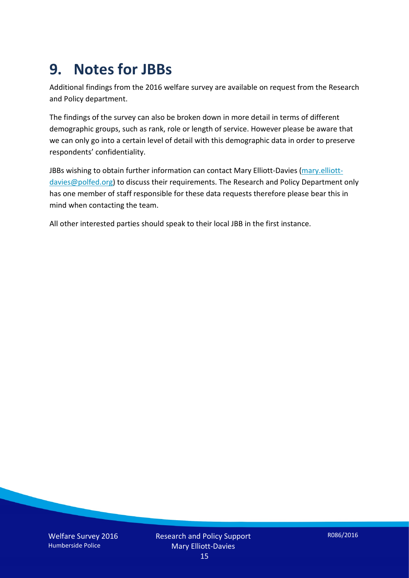# **9. Notes for JBBs**

Additional findings from the 2016 welfare survey are available on request from the Research and Policy department.

The findings of the survey can also be broken down in more detail in terms of different demographic groups, such as rank, role or length of service. However please be aware that we can only go into a certain level of detail with this demographic data in order to preserve respondents' confidentiality.

JBBs wishing to obtain further information can contact Mary Elliott-Davies [\(mary.elliott](mailto:mary.elliott-davies@polfed.org)[davies@polfed.org\)](mailto:mary.elliott-davies@polfed.org) to discuss their requirements. The Research and Policy Department only has one member of staff responsible for these data requests therefore please bear this in mind when contacting the team.

All other interested parties should speak to their local JBB in the first instance.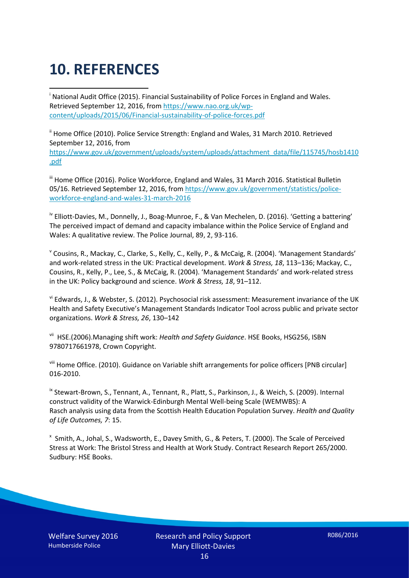# **10. REFERENCES**

<span id="page-15-0"></span>i National Audit Office (2015). Financial Sustainability of Police Forces in England and Wales. Retrieved September 12, 2016, fro[m https://www.nao.org.uk/wp](https://www.nao.org.uk/wp-content/uploads/2015/06/Financial-sustainability-of-police-forces.pdf)[content/uploads/2015/06/Financial-sustainability-of-police-forces.pdf](https://www.nao.org.uk/wp-content/uploads/2015/06/Financial-sustainability-of-police-forces.pdf)

<span id="page-15-1"></span><sup>ii</sup> Home Office (2010). Police Service Strength: England and Wales, 31 March 2010. Retrieved September 12, 2016, from [https://www.gov.uk/government/uploads/system/uploads/attachment\\_data/file/115745/hosb1410](https://www.gov.uk/government/uploads/system/uploads/attachment_data/file/115745/hosb1410.pdf) [.pdf](https://www.gov.uk/government/uploads/system/uploads/attachment_data/file/115745/hosb1410.pdf)

<span id="page-15-2"></span><sup>iii</sup> Home Office (2016). Police Workforce, England and Wales, 31 March 2016. Statistical Bulletin 05/16. Retrieved September 12, 2016, fro[m https://www.gov.uk/government/statistics/police](https://www.gov.uk/government/statistics/police-workforce-england-and-wales-31-march-2016)[workforce-england-and-wales-31-march-2016](https://www.gov.uk/government/statistics/police-workforce-england-and-wales-31-march-2016)

<span id="page-15-3"></span><sup>iv</sup> Elliott-Davies, M., Donnelly, J., Boag-Munroe, F., & Van Mechelen, D. (2016). 'Getting a battering' The perceived impact of demand and capacity imbalance within the Police Service of England and Wales: A qualitative review. The Police Journal, 89, 2, 93-116.

<span id="page-15-4"></span><sup>v</sup> Cousins, R., Mackay, C., Clarke, S., Kelly, C., Kelly, P., & McCaig, R. (2004). 'Management Standards' and work-related stress in the UK: Practical development. *Work & Stress, 18*, 113–136; Mackay, C., Cousins, R., Kelly, P., Lee, S., & McCaig, R. (2004). 'Management Standards' and work-related stress in the UK: Policy background and science. *Work & Stress, 18*, 91–112.

<span id="page-15-5"></span>vi Edwards, J., & Webster, S. (2012). Psychosocial risk assessment: Measurement invariance of the UK Health and Safety Executive's Management Standards Indicator Tool across public and private sector organizations. *Work & Stress, 26*, 130–142

<span id="page-15-6"></span>vii HSE.(2006).Managing shift work: *Health and Safety Guidance*. HSE Books, HSG256, ISBN 9780717661978, Crown Copyright.

<span id="page-15-7"></span>viii Home Office. (2010). Guidance on Variable shift arrangements for police officers [PNB circular] 016-2010.

<span id="page-15-8"></span><sup>ix</sup> Stewart-Brown, S., Tennant, A., Tennant, R., Platt, S., Parkinson, J., & Weich, S. (2009). Internal construct validity of the Warwick-Edinburgh Mental Well-being Scale (WEMWBS): A Rasch analysis using data from the Scottish Health Education Population Survey. *Health and Quality of Life Outcomes, 7*: 15.

<span id="page-15-9"></span>x Smith, A., Johal, S., Wadsworth, E., Davey Smith, G., & Peters, T. (2000). The Scale of Perceived Stress at Work: The Bristol Stress and Health at Work Study. Contract Research Report 265/2000. Sudbury: HSE Books.